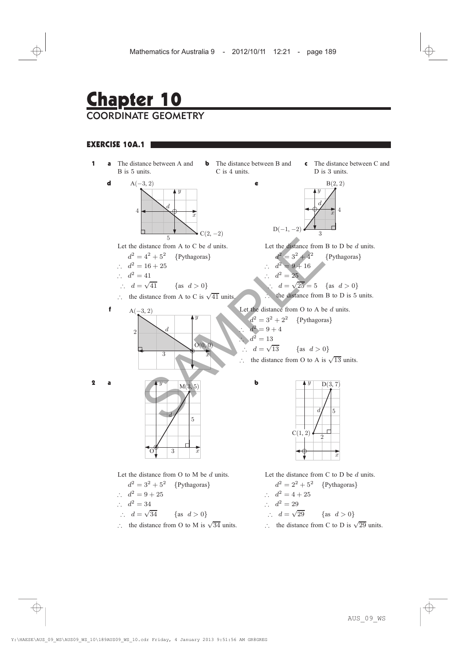## Chapter 10 COORDINATE GEOMETRY

## EXERCISE 10A.1

**1 a** The distance between A and B is 5 units. d 4 d  $\sum_{5} C(2, -2)$  $A(-3, 2)$  $\boldsymbol{y}$  $\bar{x}$ 

Let the distance from A to C be  $d$  units.

- $d^2 = 4^2 + 5^2$  {Pythagoras}
- $d^2 = 16 + 25$
- $\therefore d^2 = 41$ 
	- $\therefore d = \sqrt{41}$  {as  $d > 0$ }
- $\therefore$  the distance from A to C is  $\sqrt{41}$  units.



**b** The distance between B and C is 4 units.

e

b

c The distance between C and D is 3 units.



Let the distance from B to D be d units.

 $d^2 = 3^2 + 4^2$  {Pythagoras}  $d^2 = 9 + 16$  $\therefore$   $d^2 = 25$  $d = \sqrt{25} = 5$  {as  $d > 0$ } ) the distance from B to D is 5 units.

$$
A(-3, 2)
$$
 Let the distance from O to A be d units.

 $d^2 = 3^2 + 2^2$  {Pythagoras}  $d^2 = 9+4$  $d^2 = 13$  $d = \sqrt{13}$ {as  $d > 0$ }

 $\therefore$  the distance from O to A is  $\sqrt{13}$  units.

 $C(1, 2)$ 

 $\overline{v}$ 





Let the distance from O to M be d units.

- $d^2 = 3^2 + 5^2$  {Pythagoras}  $d^2 = 9 + 25$  $\therefore d^2 = 34$  $\therefore$  d =  $\sqrt{34}$  {as d > 0}
- $\therefore$  the distance from O to M is  $\sqrt{34}$  units.



 $\overline{2}$ 

 $d/$  5

 $D(3, 7)$ 

 $\overline{x}$ 

- $d^2 = 2^2 + 5^2$  {Pythagoras}
- $d^2 = 4 + 25$
- $\therefore d^2 = 29$
- $d = \sqrt{29}$ {as  $d > 0$ }
- $\therefore$  the distance from C to D is  $\sqrt{29}$  units.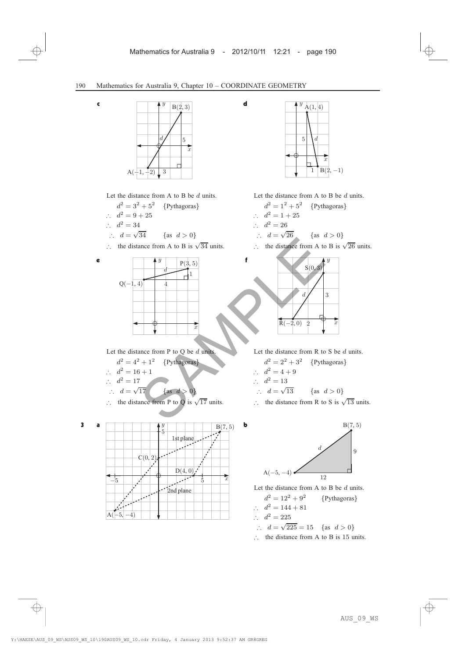d

f



c

e

Let the distance from A to B be  $d$  units.

- $d^2 = 3^2 + 5^2$  {Pythagoras}  $d^2 = 9 + 25$  $\therefore$   $d^2 = 34$  $\therefore$  d =  $\sqrt{34}$  {as d > 0}
- $\therefore$  the distance from A to B is  $\sqrt{34}$  units.



Let the distance from P to Q be  $d$  units.

- $d^2 = 4^2 + 1^2$  {Pythagoras}
- $d^2 = 16 + 1$
- $\therefore d^2 = 17$

$$
\therefore d = \sqrt{17} \quad \{\text{as } d > 0\}
$$

∴  $d = \sqrt{17}$  {as  $d > 0$ }<br>∴ the distance from P to Q is  $\sqrt{17}$  units.





Let the distance from A to B be d units.

- $d^2 = 1^2 + 5^2$  {Pythagoras}  $d^2 = 1 + 25$  $\therefore d^2 = 26$  $\therefore$  d =  $\sqrt{26}$  {as d > 0}
- $\therefore$  the distance from A to B is  $\sqrt{26}$  units.



Let the distance from  $R$  to  $S$  be  $d$  units.

- $d^2 = 2^2 + 3^2$  {Pythagoras}
- $\therefore d^2 = 4+9$
- $\therefore$   $d^2 = 13$

$$
\therefore d = \sqrt{13} \qquad \{\text{as } d > 0\}
$$

∴  $d = \sqrt{13}$  {as  $d > 0$ }<br>∴ the distance from R to S is  $\sqrt{13}$  units.



Let the distance from A to B be  $d$  units.

- $d^2 = 12^2 + 9^2$  {Pythagoras}
- $d^2 = 144 + 81$
- $\therefore d^2 = 225$
- $d = \sqrt{225} = 15$  {as  $d > 0$ }
- $\therefore$  the distance from A to B is 15 units.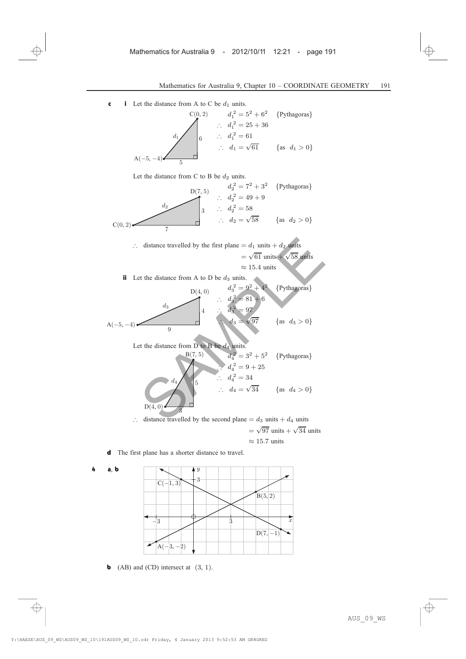c i Let the distance from A to C be  $d_1$  units.

$$
c(0, 2) \t d_1^2 = 5^2 + 6^2 \t {Pythagoras}
$$
  
\n
$$
\therefore d_1^2 = 25 + 36
$$
  
\n
$$
\therefore d_1^2 = 61
$$
  
\n
$$
\therefore d_1 = \sqrt{61} \t {as d_1 > 0}
$$
  
\nA(-5, -4)

Let the distance from C to B be  $d_2$  units.

$$
0(7,5) \t d22 = 72 + 32 {Pythagoras}\n $d2$   $d22 = 49 + 9$   
\n $\therefore d22 = 58$   
\n $\therefore d2 = \sqrt{58}$  {as  $d2 > 0$ }  
\n $\therefore d2 = \sqrt{58}$  {as  $d2 > 0$ }
$$

 $\therefore$  distance travelled by the first plane =  $d_1$  units +  $d_2$  units  $=\sqrt{61}$  units +  $\sqrt{58}$  units  $\approx 15.4$  units

ii Let the distance from A to D be  $d_3$  units.

$$
d_3
$$
\n
$$
b(4, 0)
$$
\n
$$
d_3^2 = 9^2 + 4^2 \text{ {Pythagoras}}
$$
\n
$$
d_3
$$
\n
$$
d_4
$$
\n
$$
d_3^2 = 81 + 6
$$
\n
$$
d_3^2 = 81 + 6
$$
\n
$$
d_3^2 = 9^7
$$
\n
$$
d_3 = \sqrt{97} \text{ {as } d_3 > 0}
$$

Let the distance from D to B be  $d_4$  units.

d <sup>2</sup> <sup>4</sup> = 3<sup>2</sup> + 5<sup>2</sup> <sup>f</sup>Pythagoras<sup>g</sup> ) d <sup>2</sup> <sup>4</sup> = 9 + 25 ) d <sup>2</sup> <sup>4</sup> = 34 ) <sup>d</sup><sup>4</sup> <sup>=</sup> <sup>p</sup><sup>34</sup> <sup>f</sup>as <sup>d</sup><sup>4</sup> <sup>&</sup>gt; <sup>0</sup><sup>g</sup> D , (4 0) <sup>3</sup> 5 d4 B , (7 5) SAMPLE

 $\therefore$  distance travelled by the second plane =  $d_3$  units +  $d_4$  units  $= \sqrt{97}$  units  $+ \sqrt{34}$  units  $\approx 15.7$  units

d The first plane has a shorter distance to travel.





**b** (AB) and (CD) intersect at  $(3, 1)$ .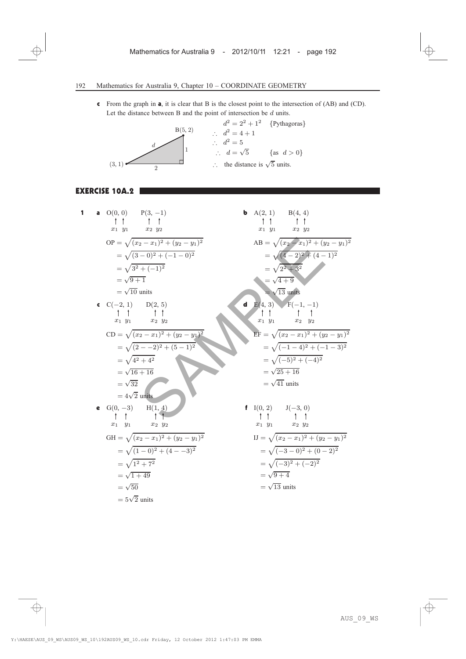c From the graph in a, it is clear that B is the closest point to the intersection of (AB) and (CD). Let the distance between B and the point of intersection be  $d$  units.

$$
d^{2} = 2^{2} + 1^{2}
$$
 {Pythagoras}  

$$
\therefore d^{2} = 4 + 1
$$
  

$$
\therefore d^{2} = 5
$$
  

$$
\therefore d = \sqrt{5}
$$
 {as  $d > 0$ }  

$$
\therefore d = \sqrt{5}
$$
 {as  $d > 0$ }  

$$
\therefore
$$
 the distance is  $\sqrt{5}$  units.

## EXERCISE 10A.2

1 **a** 
$$
O(0, 0)
$$
  $P(3, -1)$   
\n $\uparrow$   $\uparrow$   $\uparrow$   
\n $x_1$   $y_1$   $x_2$   $y_2$   
\n $\therefore$   $\sqrt{3^2 + (-1)^2}$   
\n $= \sqrt{(3-0)^2 + (-1-0)^2}$   
\n $= \sqrt{3^2 + (-1)^2}$   
\n $= \sqrt{9+1}$   
\n $\frac{1}{2}$   $\frac{1}{2}$   
\n $= \sqrt{10} \text{ units}$   
\n**c**  $C(-2, 1)$   $D(2, 5)$   
\n $\uparrow$   $\uparrow$   $\uparrow$   
\n $x_1$   $y_1$   $x_2$   $y_2$   
\n $= \sqrt{(x_2 - x_1)^2 + (y_2 - y_1)^2}$   
\n $= \sqrt{(x_2 - x_1)^2 + (y_2 - y_1)^2}$   
\n $= \sqrt{(x_2 - x_1)^2 + (y_2 - y_1)^2}$   
\n $= \sqrt{(x_2 - x_1)^2 + (y_2 - y_1)^2}$   
\n $= \sqrt{(x_2 - x_1)^2 + (y_2 - y_1)^2}$   
\n $= \sqrt{(-1 - 4)^2 + (-1 - 3)^2}$   
\n $= \sqrt{4 + 16}$   
\n $= \sqrt{25 + 16}$   
\n $= \sqrt{32}$   
\n $= \sqrt{41} \text{ units}$   
\n**e**  $G(0, -3)$   $H(1, 4)$   
\n $\downarrow$   $\uparrow$   
\n $x_1$   $y_1$   $x_2$   $y_2$   
\n $GH = \sqrt{(x_2 - x_1)^2 + (y_2 - y_1)^2}$   
\n $= \sqrt{(1 - 0)^2 + (4 - -3)^2}$   
\n $= \sqrt{(x_2 - x_1)^2 + (y_2 - y_1)^2}$   
\n $= \sqrt{(-3 - 0)^2 + (0 -$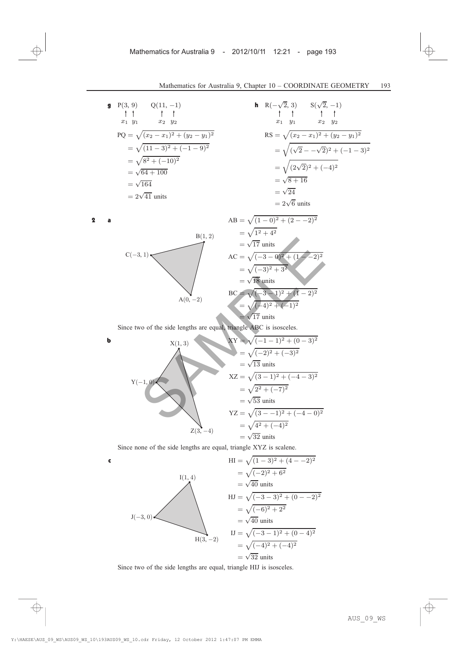**9** P(3, 9) Q(11, -1)  
\n
$$
\uparrow \uparrow \qquad \uparrow \qquad \uparrow
$$
\n
$$
x_1 \ y_1 \qquad x_2 \ y_2
$$
\n
$$
PQ = \sqrt{(x_2 - x_1)^2 + (y_2 - y_1)^2}
$$
\n
$$
= \sqrt{(11 - 3)^2 + (-1 - 9)^2}
$$
\n
$$
= \sqrt{8^2 + (-10)^2}
$$
\n
$$
= \sqrt{64 + 100}
$$
\n
$$
= \sqrt{164}
$$
\n
$$
= 2\sqrt{41} \text{ units}
$$

**h** 
$$
R(-\sqrt{2}, 3)
$$
  $S(\sqrt{2}, -1)$   
\n $\uparrow \uparrow \uparrow \uparrow$   
\n $x_1 \quad y_1 \quad x_2 \quad y_2$   
\n $RS = \sqrt{(x_2 - x_1)^2 + (y_2 - y_1)^2}$   
\n $= \sqrt{(\sqrt{2} - \sqrt{2})^2 + (-1 - 3)^2}$   
\n $= \sqrt{(2\sqrt{2})^2 + (-4)^2}$   
\n $= \sqrt{8 + 16}$   
\n $= \sqrt{24}$   
\n $= 2\sqrt{6}$  units

2 **a**  
\n
$$
AB = \sqrt{(1-0)^2 + (2-2)^2}
$$
\n
$$
= \sqrt{1^2 + 4^2}
$$
\n
$$
= \sqrt{17} \text{ units}
$$
\n
$$
AC = \sqrt{(-3-0)^2 + (1-2)^2}
$$
\n
$$
= \sqrt{(-3)^2 + 3^2}
$$
\n
$$
= \sqrt{18} \text{ units}
$$
\n
$$
BC = \sqrt{(-3-1)^2 + (1-2)^2}
$$
\n
$$
= \sqrt{(-4)^2 + (-1)^2}
$$
\n
$$
= \sqrt{17} \text{ units}
$$

Since two of the side lengths are equal, triangle ABC is isosceles.

$$
C(-3, 1)
$$
\n
$$
AC = \sqrt{(-3 - 0)^2 + (1 - 2)^2}
$$
\n
$$
= \sqrt{17} \text{ units}
$$
\n
$$
AC = \sqrt{(-3 - 0)^2 + (1 - 2)^2}
$$
\n
$$
= \sqrt{18} \text{ units}
$$
\n
$$
BC = \sqrt{(-3 - 1)^2 + (1 - 2)^2}
$$
\n
$$
= \sqrt{17} \text{ units}
$$
\nSince two of the side lengths are equal, triangle ABC is isosceles.\n\n
$$
X(1, 3)
$$
\n
$$
X(1, 3)
$$
\n
$$
X(2) = \sqrt{(-2)^2 + (-3)^2}
$$
\n
$$
= \sqrt{13} \text{ units}
$$
\n
$$
X(2) = \sqrt{(3 - 1)^2 + (-4 - 3)^2}
$$
\n
$$
= \sqrt{2^2 + (-7)^2}
$$
\n
$$
= \sqrt{53} \text{ units}
$$
\n
$$
YZ = \sqrt{(3 - -1)^2 + (-4 - 0)^2}
$$
\n
$$
= \sqrt{4^2 + (-4)^2}
$$
\n
$$
= \sqrt{32} \text{ units}
$$
\n
$$
YZ = \sqrt{4^2 + (-4)^2}
$$
\n
$$
= \sqrt{32} \text{ units}
$$

Since none of the side lengths are equal, triangle XYZ is scalene.

$$
H1 = \sqrt{(1-3)^2 + (4-2)^2}
$$
  
\n
$$
= \sqrt{(-2)^2 + 6^2}
$$
  
\n
$$
= \sqrt{40} \text{ units}
$$
  
\n
$$
H1 = \sqrt{(-3-3)^2 + (0-2)^2}
$$
  
\n
$$
= \sqrt{(-6)^2 + 2^2}
$$
  
\n
$$
= \sqrt{40} \text{ units}
$$
  
\n
$$
H2 = \sqrt{(-3-3)^2 + (0-2)^2}
$$
  
\n
$$
= \sqrt{40} \text{ units}
$$
  
\n
$$
H3, -2
$$
  
\n
$$
= \sqrt{(-4)^2 + (-4)^2}
$$
  
\n
$$
= \sqrt{32} \text{ units}
$$

Since two of the side lengths are equal, triangle HIJ is isosceles.